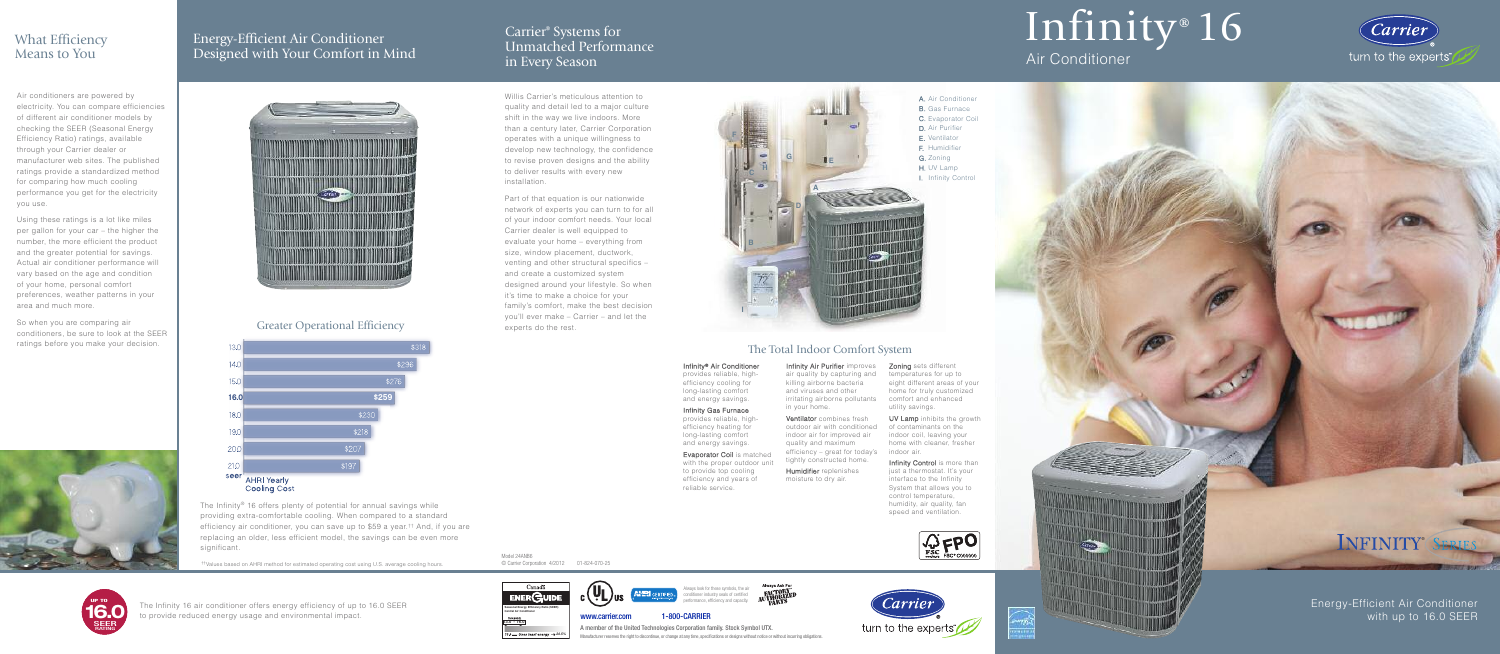## Infinity<sup>®</sup> 16

## Air Conditioner





Energy-Efficient Air Conditioner with up to 16.0 SEER



<u>ent</u>